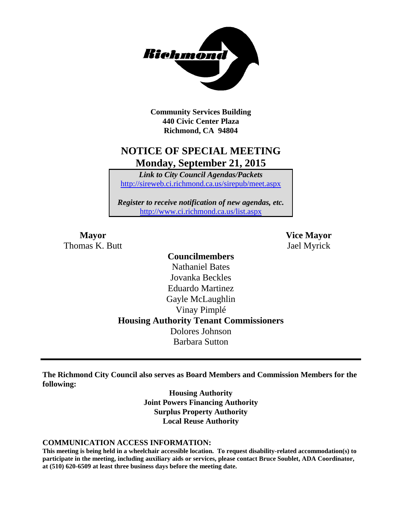

**Community Services Building 440 Civic Center Plaza Richmond, CA 94804**

## **NOTICE OF SPECIAL MEETING Monday, September 21, 2015**

*Link to City Council Agendas/Packets* <http://sireweb.ci.richmond.ca.us/sirepub/meet.aspx>

*Register to receive notification of new agendas, etc.* <http://www.ci.richmond.ca.us/list.aspx>

Thomas K. Butt Jael Myrick

**Mayor Vice Mayor**

## **Councilmembers** Nathaniel Bates Jovanka Beckles Eduardo Martinez Gayle McLaughlin Vinay Pimplé **Housing Authority Tenant Commissioners** Dolores Johnson Barbara Sutton

**The Richmond City Council also serves as Board Members and Commission Members for the following:**

> **Housing Authority Joint Powers Financing Authority Surplus Property Authority Local Reuse Authority**

#### **COMMUNICATION ACCESS INFORMATION:**

**This meeting is being held in a wheelchair accessible location. To request disability-related accommodation(s) to participate in the meeting, including auxiliary aids or services, please contact Bruce Soublet, ADA Coordinator, at (510) 620-6509 at least three business days before the meeting date.**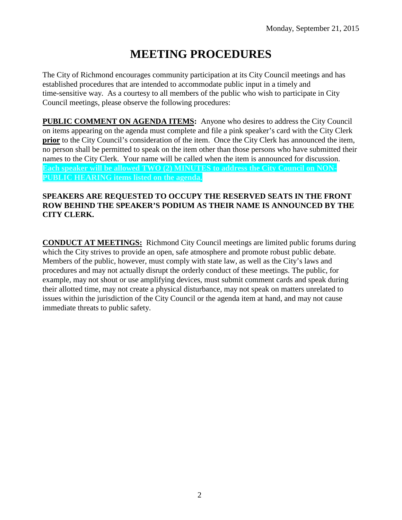# **MEETING PROCEDURES**

The City of Richmond encourages community participation at its City Council meetings and has established procedures that are intended to accommodate public input in a timely and time-sensitive way. As a courtesy to all members of the public who wish to participate in City Council meetings, please observe the following procedures:

**PUBLIC COMMENT ON AGENDA ITEMS:** Anyone who desires to address the City Council on items appearing on the agenda must complete and file a pink speaker's card with the City Clerk **prior** to the City Council's consideration of the item. Once the City Clerk has announced the item, no person shall be permitted to speak on the item other than those persons who have submitted their names to the City Clerk. Your name will be called when the item is announced for discussion. **Each speaker will be allowed TWO (2) MINUTES to address the City Council on NON-PUBLIC HEARING items listed on the agenda.**

#### **SPEAKERS ARE REQUESTED TO OCCUPY THE RESERVED SEATS IN THE FRONT ROW BEHIND THE SPEAKER'S PODIUM AS THEIR NAME IS ANNOUNCED BY THE CITY CLERK.**

**CONDUCT AT MEETINGS:** Richmond City Council meetings are limited public forums during which the City strives to provide an open, safe atmosphere and promote robust public debate. Members of the public, however, must comply with state law, as well as the City's laws and procedures and may not actually disrupt the orderly conduct of these meetings. The public, for example, may not shout or use amplifying devices, must submit comment cards and speak during their allotted time, may not create a physical disturbance, may not speak on matters unrelated to issues within the jurisdiction of the City Council or the agenda item at hand, and may not cause immediate threats to public safety.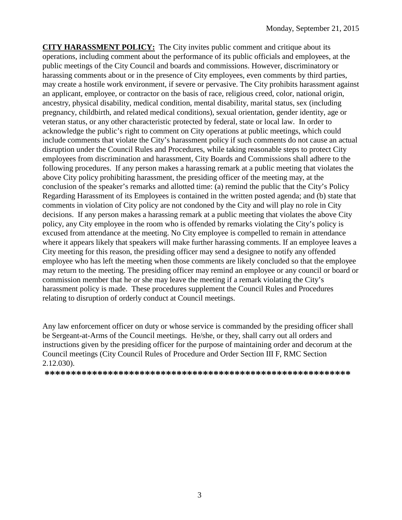**CITY HARASSMENT POLICY:** The City invites public comment and critique about its operations, including comment about the performance of its public officials and employees, at the public meetings of the City Council and boards and commissions. However, discriminatory or harassing comments about or in the presence of City employees, even comments by third parties, may create a hostile work environment, if severe or pervasive. The City prohibits harassment against an applicant, employee, or contractor on the basis of race, religious creed, color, national origin, ancestry, physical disability, medical condition, mental disability, marital status, sex (including pregnancy, childbirth, and related medical conditions), sexual orientation, gender identity, age or veteran status, or any other characteristic protected by federal, state or local law. In order to acknowledge the public's right to comment on City operations at public meetings, which could include comments that violate the City's harassment policy if such comments do not cause an actual disruption under the Council Rules and Procedures, while taking reasonable steps to protect City employees from discrimination and harassment, City Boards and Commissions shall adhere to the following procedures. If any person makes a harassing remark at a public meeting that violates the above City policy prohibiting harassment, the presiding officer of the meeting may, at the conclusion of the speaker's remarks and allotted time: (a) remind the public that the City's Policy Regarding Harassment of its Employees is contained in the written posted agenda; and (b) state that comments in violation of City policy are not condoned by the City and will play no role in City decisions. If any person makes a harassing remark at a public meeting that violates the above City policy, any City employee in the room who is offended by remarks violating the City's policy is excused from attendance at the meeting. No City employee is compelled to remain in attendance where it appears likely that speakers will make further harassing comments. If an employee leaves a City meeting for this reason, the presiding officer may send a designee to notify any offended employee who has left the meeting when those comments are likely concluded so that the employee may return to the meeting. The presiding officer may remind an employee or any council or board or commission member that he or she may leave the meeting if a remark violating the City's harassment policy is made. These procedures supplement the Council Rules and Procedures relating to disruption of orderly conduct at Council meetings.

Any law enforcement officer on duty or whose service is commanded by the presiding officer shall be Sergeant-at-Arms of the Council meetings. He/she, or they, shall carry out all orders and instructions given by the presiding officer for the purpose of maintaining order and decorum at the Council meetings (City Council Rules of Procedure and Order Section III F, RMC Section 2.12.030).

**\*\*\*\*\*\*\*\*\*\*\*\*\*\*\*\*\*\*\*\*\*\*\*\*\*\*\*\*\*\*\*\*\*\*\*\*\*\*\*\*\*\*\*\*\*\*\*\*\*\*\*\*\*\*\*\*\*\***